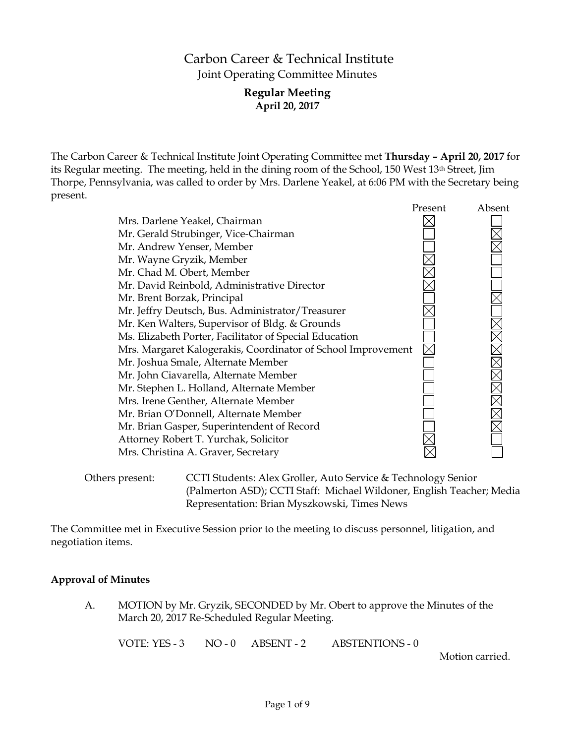# Carbon Career & Technical Institute Joint Operating Committee Minutes

## **Regular Meeting April 20, 2017**

The Carbon Career & Technical Institute Joint Operating Committee met **Thursday – April 20, 2017** for its Regular meeting. The meeting, held in the dining room of the School, 150 West 13th Street, Jim Thorpe, Pennsylvania, was called to order by Mrs. Darlene Yeakel, at 6:06 PM with the Secretary being present.

|                                                              | Present | Absent |
|--------------------------------------------------------------|---------|--------|
| Mrs. Darlene Yeakel, Chairman                                |         |        |
| Mr. Gerald Strubinger, Vice-Chairman                         |         |        |
| Mr. Andrew Yenser, Member                                    |         |        |
| Mr. Wayne Gryzik, Member                                     |         |        |
| Mr. Chad M. Obert, Member                                    |         |        |
| Mr. David Reinbold, Administrative Director                  |         |        |
| Mr. Brent Borzak, Principal                                  |         |        |
| Mr. Jeffry Deutsch, Bus. Administrator/Treasurer             |         |        |
| Mr. Ken Walters, Supervisor of Bldg. & Grounds               |         |        |
| Ms. Elizabeth Porter, Facilitator of Special Education       |         |        |
| Mrs. Margaret Kalogerakis, Coordinator of School Improvement |         |        |
| Mr. Joshua Smale, Alternate Member                           |         |        |
| Mr. John Ciavarella, Alternate Member                        |         |        |
| Mr. Stephen L. Holland, Alternate Member                     |         |        |
| Mrs. Irene Genther, Alternate Member                         |         |        |
| Mr. Brian O'Donnell, Alternate Member                        |         |        |
| Mr. Brian Gasper, Superintendent of Record                   |         |        |
| Attorney Robert T. Yurchak, Solicitor                        |         |        |
| Mrs. Christina A. Graver, Secretary                          |         |        |
|                                                              |         |        |

Others present: CCTI Students: Alex Groller, Auto Service & Technology Senior (Palmerton ASD); CCTI Staff: Michael Wildoner, English Teacher; Media Representation: Brian Myszkowski, Times News

The Committee met in Executive Session prior to the meeting to discuss personnel, litigation, and negotiation items.

### **Approval of Minutes**

A. MOTION by Mr. Gryzik, SECONDED by Mr. Obert to approve the Minutes of the March 20, 2017 Re-Scheduled Regular Meeting.

VOTE: YES - 3 NO - 0 ABSENT - 2 ABSTENTIONS - 0

Motion carried.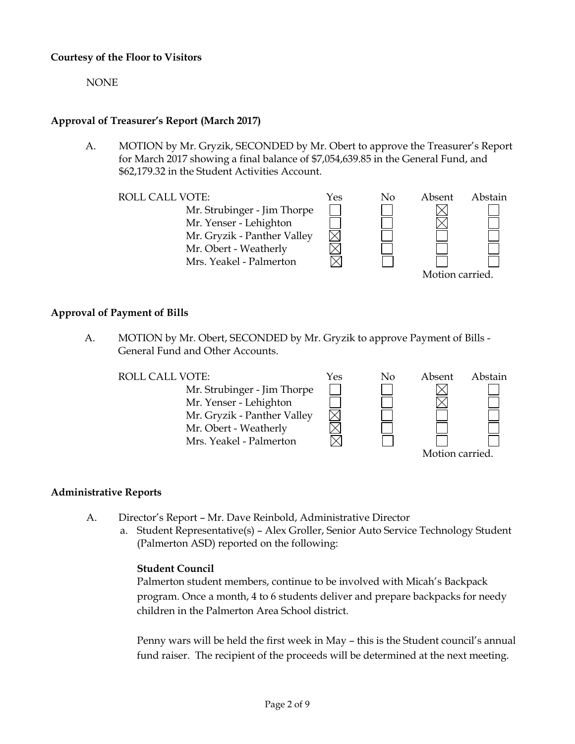### **Courtesy of the Floor to Visitors**

NONE

## **Approval of Treasurer's Report (March 2017)**

A. MOTION by Mr. Gryzik, SECONDED by Mr. Obert to approve the Treasurer's Report for March 2017 showing a final balance of \$7,054,639.85 in the General Fund, and \$62,179.32 in the Student Activities Account.

ROLL CALL VOTE:  $Y$ es No Absent Abstain Mr. Strubinger - Jim Thorpe Mr. Yenser - Lehighton Mr. Gryzik - Panther Valley Mr. Obert - Weatherly Mrs. Yeakel - Palmerton Motion carried.

### **Approval of Payment of Bills**

A. MOTION by Mr. Obert, SECONDED by Mr. Gryzik to approve Payment of Bills - General Fund and Other Accounts.

ROLL CALL VOTE:  $Y$ es No Absent Abstain Mr. Strubinger - Jim Thorpe Mr. Yenser - Lehighton Mr. Gryzik - Panther Valley Mr. Obert - Weatherly Mrs. Yeakel - Palmerton Motion carried.

### **Administrative Reports**

- A. Director's Report Mr. Dave Reinbold, Administrative Director
	- a. Student Representative(s) Alex Groller, Senior Auto Service Technology Student (Palmerton ASD) reported on the following:

#### **Student Council**

Palmerton student members, continue to be involved with Micah's Backpack program. Once a month, 4 to 6 students deliver and prepare backpacks for needy children in the Palmerton Area School district.

Penny wars will be held the first week in May – this is the Student council's annual fund raiser. The recipient of the proceeds will be determined at the next meeting.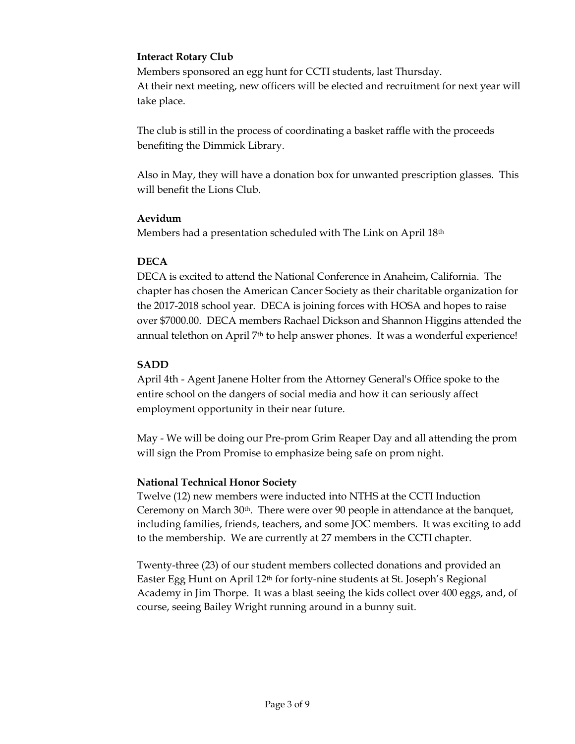## **Interact Rotary Club**

Members sponsored an egg hunt for CCTI students, last Thursday. At their next meeting, new officers will be elected and recruitment for next year will take place.

The club is still in the process of coordinating a basket raffle with the proceeds benefiting the Dimmick Library.

Also in May, they will have a donation box for unwanted prescription glasses. This will benefit the Lions Club.

### **Aevidum**

Members had a presentation scheduled with The Link on April 18th

### **DECA**

DECA is excited to attend the National Conference in Anaheim, California. The chapter has chosen the American Cancer Society as their charitable organization for the 2017-2018 school year. DECA is joining forces with HOSA and hopes to raise over \$7000.00. DECA members Rachael Dickson and Shannon Higgins attended the annual telethon on April  $7<sup>th</sup>$  to help answer phones. It was a wonderful experience!

### **SADD**

April 4th - Agent Janene Holter from the Attorney General's Office spoke to the entire school on the dangers of social media and how it can seriously affect employment opportunity in their near future.

May - We will be doing our Pre-prom Grim Reaper Day and all attending the prom will sign the Prom Promise to emphasize being safe on prom night.

### **National Technical Honor Society**

Twelve (12) new members were inducted into NTHS at the CCTI Induction Ceremony on March 30th. There were over 90 people in attendance at the banquet, including families, friends, teachers, and some JOC members. It was exciting to add to the membership. We are currently at 27 members in the CCTI chapter.

Twenty-three (23) of our student members collected donations and provided an Easter Egg Hunt on April 12<sup>th</sup> for forty-nine students at St. Joseph's Regional Academy in Jim Thorpe. It was a blast seeing the kids collect over 400 eggs, and, of course, seeing Bailey Wright running around in a bunny suit.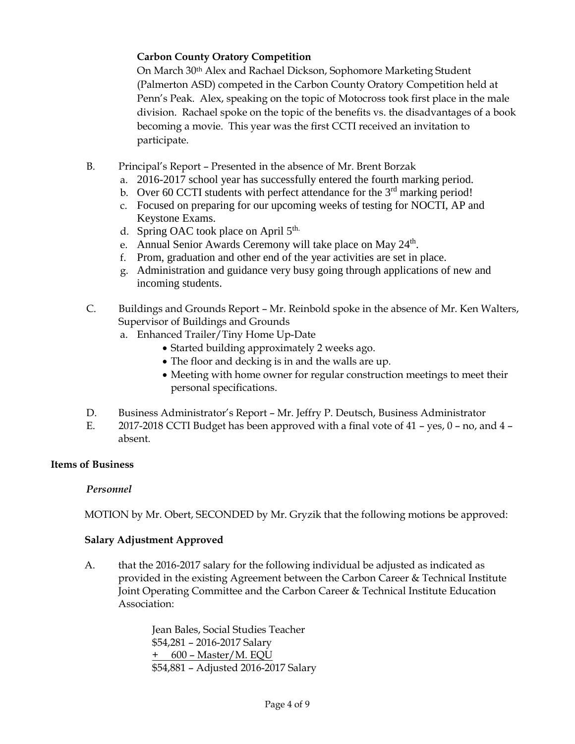# **Carbon County Oratory Competition**

On March 30th Alex and Rachael Dickson, Sophomore Marketing Student (Palmerton ASD) competed in the Carbon County Oratory Competition held at Penn's Peak. Alex, speaking on the topic of Motocross took first place in the male division. Rachael spoke on the topic of the benefits vs. the disadvantages of a book becoming a movie. This year was the first CCTI received an invitation to participate.

- B. Principal's Report Presented in the absence of Mr. Brent Borzak
	- a. 2016-2017 school year has successfully entered the fourth marking period.
	- b. Over 60 CCTI students with perfect attendance for the  $3<sup>rd</sup>$  marking period!
	- c. Focused on preparing for our upcoming weeks of testing for NOCTI, AP and Keystone Exams.
	- d. Spring OAC took place on April 5<sup>th.</sup>
	- e. Annual Senior Awards Ceremony will take place on May 24<sup>th</sup>.
	- f. Prom, graduation and other end of the year activities are set in place.
	- g. Administration and guidance very busy going through applications of new and incoming students.
- C. Buildings and Grounds Report Mr. Reinbold spoke in the absence of Mr. Ken Walters, Supervisor of Buildings and Grounds
	- a. Enhanced Trailer/Tiny Home Up-Date
		- Started building approximately 2 weeks ago.
		- The floor and decking is in and the walls are up.
		- Meeting with home owner for regular construction meetings to meet their personal specifications.
- D. Business Administrator's Report Mr. Jeffry P. Deutsch, Business Administrator
- E. 2017-2018 CCTI Budget has been approved with a final vote of 41 yes, 0 no, and 4 absent.

# **Items of Business**

# *Personnel*

MOTION by Mr. Obert, SECONDED by Mr. Gryzik that the following motions be approved:

# **Salary Adjustment Approved**

A. that the 2016-2017 salary for the following individual be adjusted as indicated as provided in the existing Agreement between the Carbon Career & Technical Institute Joint Operating Committee and the Carbon Career & Technical Institute Education Association:

> Jean Bales, Social Studies Teacher \$54,281 – 2016-2017 Salary + 600 – Master/M. EQU \$54,881 – Adjusted 2016-2017 Salary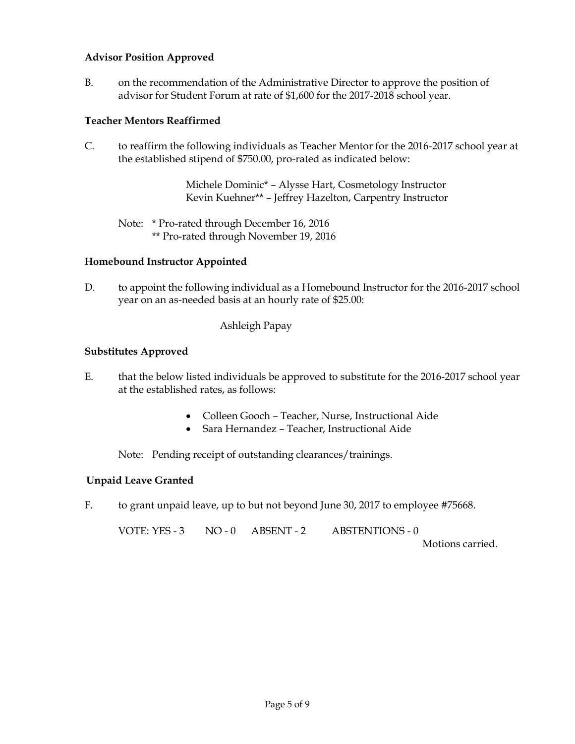### **Advisor Position Approved**

B. on the recommendation of the Administrative Director to approve the position of advisor for Student Forum at rate of \$1,600 for the 2017-2018 school year.

### **Teacher Mentors Reaffirmed**

C. to reaffirm the following individuals as Teacher Mentor for the 2016-2017 school year at the established stipend of \$750.00, pro-rated as indicated below:

> Michele Dominic\* – Alysse Hart, Cosmetology Instructor Kevin Kuehner\*\* – Jeffrey Hazelton, Carpentry Instructor

Note: \* Pro-rated through December 16, 2016 \*\* Pro-rated through November 19, 2016

### **Homebound Instructor Appointed**

D. to appoint the following individual as a Homebound Instructor for the 2016-2017 school year on an as-needed basis at an hourly rate of \$25.00:

### Ashleigh Papay

### **Substitutes Approved**

- E. that the below listed individuals be approved to substitute for the 2016-2017 school year at the established rates, as follows:
	- Colleen Gooch Teacher, Nurse, Instructional Aide
	- Sara Hernandez Teacher, Instructional Aide

Note: Pending receipt of outstanding clearances/trainings.

### **Unpaid Leave Granted**

F. to grant unpaid leave, up to but not beyond June 30, 2017 to employee #75668.

VOTE: YES - 3 NO - 0 ABSENT - 2 ABSTENTIONS - 0 Motions carried.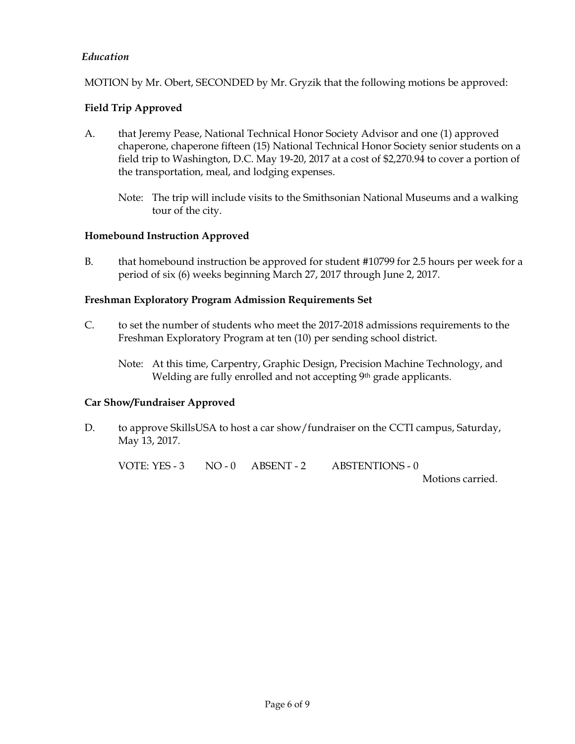### *Education*

MOTION by Mr. Obert, SECONDED by Mr. Gryzik that the following motions be approved:

### **Field Trip Approved**

- A. that Jeremy Pease, National Technical Honor Society Advisor and one (1) approved chaperone, chaperone fifteen (15) National Technical Honor Society senior students on a field trip to Washington, D.C. May 19-20, 2017 at a cost of \$2,270.94 to cover a portion of the transportation, meal, and lodging expenses.
	- Note: The trip will include visits to the Smithsonian National Museums and a walking tour of the city.

### **Homebound Instruction Approved**

B. that homebound instruction be approved for student #10799 for 2.5 hours per week for a period of six (6) weeks beginning March 27, 2017 through June 2, 2017.

#### **Freshman Exploratory Program Admission Requirements Set**

- C. to set the number of students who meet the 2017-2018 admissions requirements to the Freshman Exploratory Program at ten (10) per sending school district.
	- Note: At this time, Carpentry, Graphic Design, Precision Machine Technology, and Welding are fully enrolled and not accepting 9<sup>th</sup> grade applicants.

### **Car Show/Fundraiser Approved**

D. to approve SkillsUSA to host a car show/fundraiser on the CCTI campus, Saturday, May 13, 2017.

VOTE: YES - 3 NO - 0 ABSENT - 2 ABSTENTIONS - 0

Motions carried.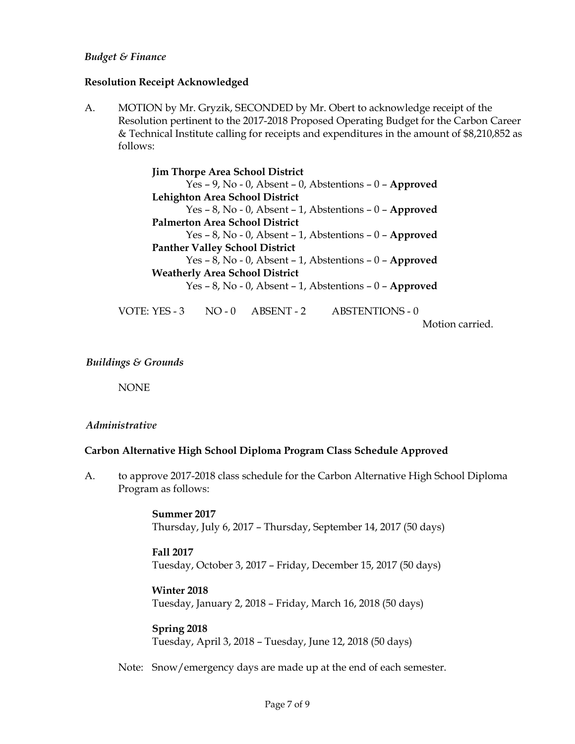#### *Budget & Finance*

#### **Resolution Receipt Acknowledged**

A. MOTION by Mr. Gryzik, SECONDED by Mr. Obert to acknowledge receipt of the Resolution pertinent to the 2017-2018 Proposed Operating Budget for the Carbon Career & Technical Institute calling for receipts and expenditures in the amount of \$8,210,852 as follows:

> **Jim Thorpe Area School District** Yes – 9, No - 0, Absent – 0, Abstentions – 0 – **Approved Lehighton Area School District** Yes – 8, No - 0, Absent – 1, Abstentions – 0 – **Approved Palmerton Area School District** Yes – 8, No - 0, Absent – 1, Abstentions – 0 – **Approved Panther Valley School District** Yes – 8, No - 0, Absent – 1, Abstentions – 0 – **Approved Weatherly Area School District** Yes – 8, No - 0, Absent – 1, Abstentions – 0 – **Approved**

VOTE: YES - 3 NO - 0 ABSENT - 2 ABSTENTIONS - 0

Motion carried.

#### *Buildings & Grounds*

NONE

#### *Administrative*

#### **Carbon Alternative High School Diploma Program Class Schedule Approved**

A. to approve 2017-2018 class schedule for the Carbon Alternative High School Diploma Program as follows:

> **Summer 2017** Thursday, July 6, 2017 – Thursday, September 14, 2017 (50 days)

#### **Fall 2017**

Tuesday, October 3, 2017 – Friday, December 15, 2017 (50 days)

### **Winter 2018**

Tuesday, January 2, 2018 – Friday, March 16, 2018 (50 days)

#### **Spring 2018**

Tuesday, April 3, 2018 – Tuesday, June 12, 2018 (50 days)

Note: Snow/emergency days are made up at the end of each semester.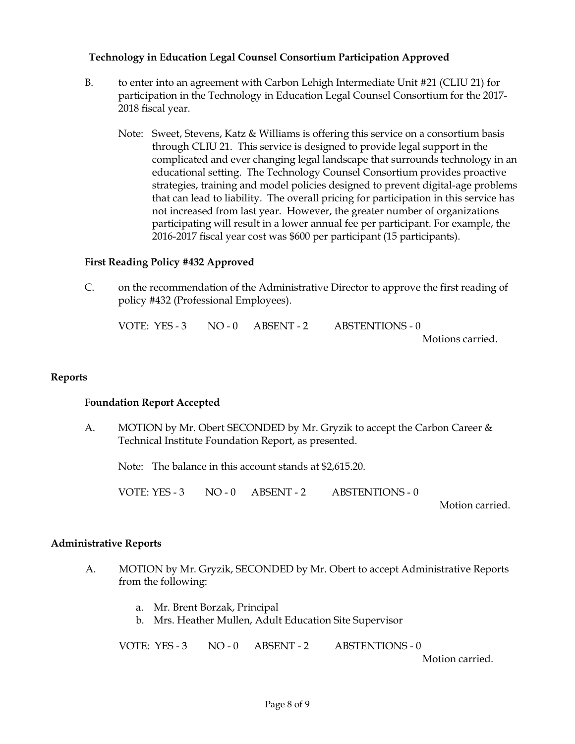### **Technology in Education Legal Counsel Consortium Participation Approved**

- B. to enter into an agreement with Carbon Lehigh Intermediate Unit #21 (CLIU 21) for participation in the Technology in Education Legal Counsel Consortium for the 2017- 2018 fiscal year.
	- Note: Sweet, Stevens, Katz & Williams is offering this service on a consortium basis through CLIU 21. This service is designed to provide legal support in the complicated and ever changing legal landscape that surrounds technology in an educational setting. The Technology Counsel Consortium provides proactive strategies, training and model policies designed to prevent digital-age problems that can lead to liability. The overall pricing for participation in this service has not increased from last year. However, the greater number of organizations participating will result in a lower annual fee per participant. For example, the 2016-2017 fiscal year cost was \$600 per participant (15 participants).

### **First Reading Policy #432 Approved**

C. on the recommendation of the Administrative Director to approve the first reading of policy #432 (Professional Employees).

| VOTE: YES - 3 $NO - 0$ ABSENT - 2 |  | ABSTENTIONS - 0  |
|-----------------------------------|--|------------------|
|                                   |  | Motions carried. |

### **Reports**

### **Foundation Report Accepted**

A. MOTION by Mr. Obert SECONDED by Mr. Gryzik to accept the Carbon Career & Technical Institute Foundation Report, as presented.

Note: The balance in this account stands at \$2,615.20.

VOTE: YES - 3 NO - 0 ABSENT - 2 ABSTENTIONS - 0

Motion carried.

### **Administrative Reports**

- A. MOTION by Mr. Gryzik, SECONDED by Mr. Obert to accept Administrative Reports from the following:
	- a. Mr. Brent Borzak, Principal
	- b. Mrs. Heather Mullen, Adult Education Site Supervisor

VOTE: YES - 3 NO - 0 ABSENT - 2 ABSTENTIONS - 0 Motion carried.